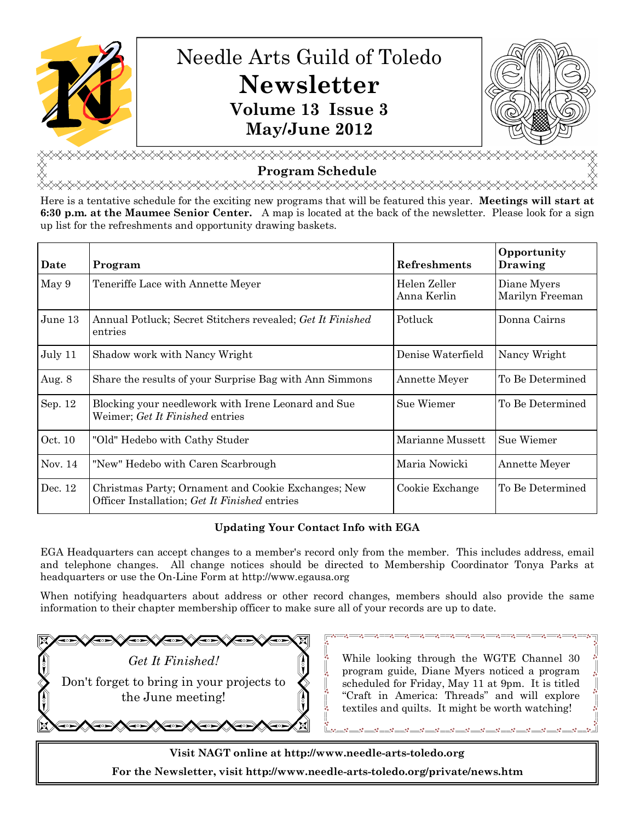

# Needle Arts Guild of Toledo **Newsletter Volume 13 Issue 3 May/June 2012**



**⋋⋋⋌⋋⋋⋌⋋⋋⋌⋋⋋⋌⋋⋋⋌⋋⋋**⋋⋌⋋⋌⋋⋌⋋⋌⋋⋌⋋ **Program Schedule**

<del></del>

Here is a tentative schedule for the exciting new programs that will be featured this year. **Meetings will start at 6:30 p.m. at the Maumee Senior Center.** A map is located at the back of the newsletter. Please look for a sign up list for the refreshments and opportunity drawing baskets.

| Date      | Program                                                                                              | <b>Refreshments</b>         | Opportunity<br>Drawing         |
|-----------|------------------------------------------------------------------------------------------------------|-----------------------------|--------------------------------|
| May 9     | Teneriffe Lace with Annette Meyer                                                                    | Helen Zeller<br>Anna Kerlin | Diane Myers<br>Marilyn Freeman |
| June 13   | Annual Potluck; Secret Stitchers revealed; Get It Finished<br>entries                                | Potluck                     | Donna Cairns                   |
| July 11   | Shadow work with Nancy Wright                                                                        | Denise Waterfield           | Nancy Wright                   |
| Aug. 8    | Share the results of your Surprise Bag with Ann Simmons                                              | Annette Meyer               | To Be Determined               |
| Sep. 12   | Blocking your needlework with Irene Leonard and Sue<br>Weimer; Get It Finished entries               | Sue Wiemer                  | To Be Determined               |
| Oct. 10   | "Old" Hedebo with Cathy Studer                                                                       | Marianne Mussett            | Sue Wiemer                     |
| Nov. $14$ | "New" Hedebo with Caren Scarbrough                                                                   | Maria Nowicki               | Annette Meyer                  |
| Dec. 12   | Christmas Party; Ornament and Cookie Exchanges; New<br>Officer Installation; Get It Finished entries | Cookie Exchange             | To Be Determined               |

# **Updating Your Contact Info with EGA**

EGA Headquarters can accept changes to a member's record only from the member. This includes address, email and telephone changes. All change notices should be directed to Membership Coordinator Tonya Parks at headquarters or use the On-Line Form at http://www.egausa.org

When notifying headquarters about address or other record changes, members should also provide the same information to their chapter membership officer to make sure all of your records are up to date.

*Get It Finished!* Don't forget to bring in your projects to the June meeting!

While looking through the WGTE Channel 30 program guide, Diane Myers noticed a program scheduled for Friday, May 11 at 9pm. It is titled "Craft in America: Threads" and will explore textiles and quilts. It might be worth watching!

**Visit NAGT online at http://www.needle-arts-toledo.org For the Newsletter, visit http://www.needle-arts-toledo.org/private/news.htm**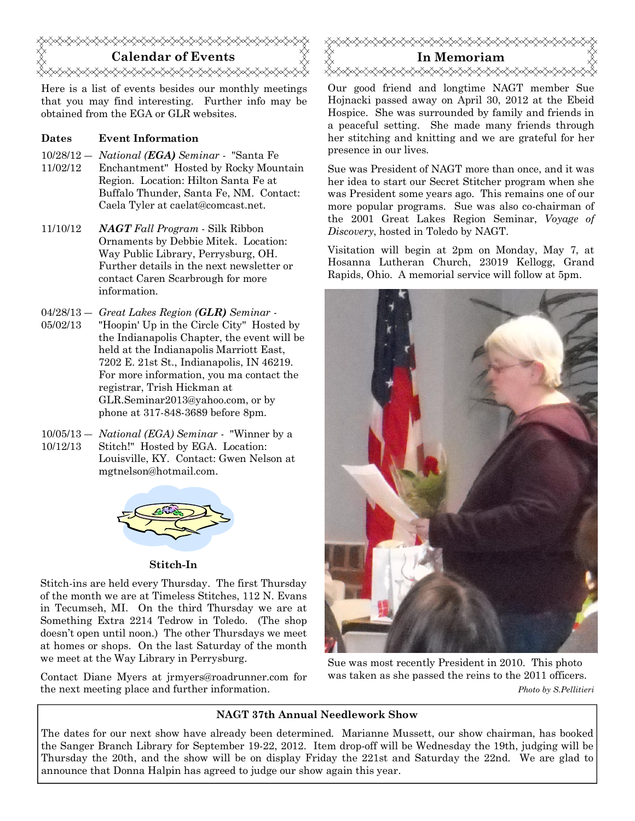

Here is a list of events besides our monthly meetings that you may find interesting. Further info may be obtained from the EGA or GLR websites.

## **Dates Event Information**

- 10/28/12 ― *National (EGA) Seminar -* "Santa Fe
- 11/02/12 Enchantment" Hosted by Rocky Mountain Region. Location: Hilton Santa Fe at Buffalo Thunder, Santa Fe, NM. Contact: Caela Tyler at caelat@comcast.net.
- 11/10/12 *NAGT Fall Program* Silk Ribbon Ornaments by Debbie Mitek. Location: Way Public Library, Perrysburg, OH. Further details in the next newsletter or contact Caren Scarbrough for more information.

04/28/13 ― *Great Lakes Region (GLR) Seminar -*

- 05/02/13 "Hoopin' Up in the Circle City" Hosted by the Indianapolis Chapter, the event will be held at the Indianapolis Marriott East, 7202 E. 21st St., Indianapolis, IN 46219. For more information, you ma contact the registrar, Trish Hickman at GLR.Seminar2013@yahoo.com, or by phone at 317-848-3689 before 8pm.
- 10/05/13 ― *National (EGA) Seminar -* "Winner by a 10/12/13 Stitch!" Hosted by EGA. Location: Louisville, KY. Contact: Gwen Nelson at mgtnelson@hotmail.com.



## **Stitch-In**

Stitch-ins are held every Thursday. The first Thursday of the month we are at Timeless Stitches, 112 N. Evans in Tecumseh, MI. On the third Thursday we are at Something Extra 2214 Tedrow in Toledo. (The shop doesn't open until noon.) The other Thursdays we meet at homes or shops. On the last Saturday of the month we meet at the Way Library in Perrysburg.

Contact Diane Myers at jrmyers@roadrunner.com for the next meeting place and further information.



Our good friend and longtime NAGT member Sue Hojnacki passed away on April 30, 2012 at the Ebeid Hospice. She was surrounded by family and friends in a peaceful setting. She made many friends through her stitching and knitting and we are grateful for her presence in our lives.

Sue was President of NAGT more than once, and it was her idea to start our Secret Stitcher program when she was President some years ago. This remains one of our more popular programs. Sue was also co-chairman of the 2001 Great Lakes Region Seminar, *Voyage of Discovery*, hosted in Toledo by NAGT.

Visitation will begin at 2pm on Monday, May 7, at Hosanna Lutheran Church, 23019 Kellogg, Grand Rapids, Ohio. A memorial service will follow at 5pm.



Sue was most recently President in 2010. This photo was taken as she passed the reins to the 2011 officers. *Photo by S.Pellitieri*

## **NAGT 37th Annual Needlework Show**

The dates for our next show have already been determined. Marianne Mussett, our show chairman, has booked the Sanger Branch Library for September 19-22, 2012. Item drop-off will be Wednesday the 19th, judging will be Thursday the 20th, and the show will be on display Friday the 221st and Saturday the 22nd. We are glad to announce that Donna Halpin has agreed to judge our show again this year.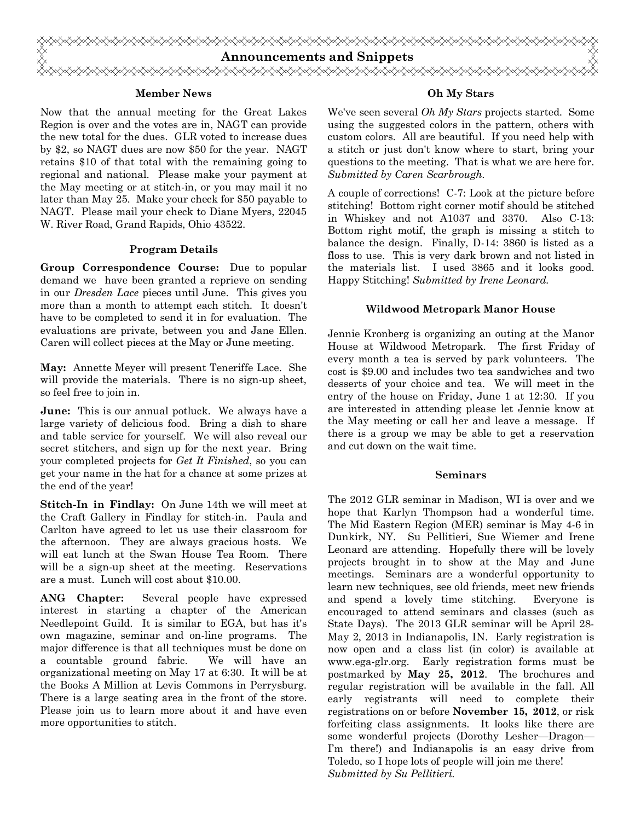

#### **Member News**

Now that the annual meeting for the Great Lakes Region is over and the votes are in, NAGT can provide the new total for the dues. GLR voted to increase dues by \$2, so NAGT dues are now \$50 for the year. NAGT retains \$10 of that total with the remaining going to regional and national. Please make your payment at the May meeting or at stitch-in, or you may mail it no later than May 25. Make your check for \$50 payable to NAGT. Please mail your check to Diane Myers, 22045 W. River Road, Grand Rapids, Ohio 43522.

### **Program Details**

**Group Correspondence Course:** Due to popular demand we have been granted a reprieve on sending in our *Dresden Lace* pieces until June. This gives you more than a month to attempt each stitch. It doesn't have to be completed to send it in for evaluation. The evaluations are private, between you and Jane Ellen. Caren will collect pieces at the May or June meeting.

**May:** Annette Meyer will present Teneriffe Lace. She will provide the materials. There is no sign-up sheet, so feel free to join in.

**June:** This is our annual potluck. We always have a large variety of delicious food. Bring a dish to share and table service for yourself. We will also reveal our secret stitchers, and sign up for the next year. Bring your completed projects for *Get It Finished*, so you can get your name in the hat for a chance at some prizes at the end of the year!

**Stitch-In in Findlay:** On June 14th we will meet at the Craft Gallery in Findlay for stitch-in. Paula and Carlton have agreed to let us use their classroom for the afternoon. They are always gracious hosts. We will eat lunch at the Swan House Tea Room. There will be a sign-up sheet at the meeting. Reservations are a must. Lunch will cost about \$10.00.

**ANG Chapter:** Several people have expressed interest in starting a chapter of the American Needlepoint Guild. It is similar to EGA, but has it's own magazine, seminar and on-line programs. The major difference is that all techniques must be done on a countable ground fabric. We will have an organizational meeting on May 17 at 6:30. It will be at the Books A Million at Levis Commons in Perrysburg. There is a large seating area in the front of the store. Please join us to learn more about it and have even more opportunities to stitch.

### **Oh My Stars**

We've seen several *Oh My Stars* projects started. Some using the suggested colors in the pattern, others with custom colors. All are beautiful. If you need help with a stitch or just don't know where to start, bring your questions to the meeting. That is what we are here for. *Submitted by Caren Scarbrough.*

A couple of corrections! C-7: Look at the picture before stitching! Bottom right corner motif should be stitched in Whiskey and not A1037 and 3370. Also C-13: Bottom right motif, the graph is missing a stitch to balance the design. Finally, D-14: 3860 is listed as a floss to use. This is very dark brown and not listed in the materials list. I used 3865 and it looks good. Happy Stitching! *Submitted by Irene Leonard.*

## **Wildwood Metropark Manor House**

Jennie Kronberg is organizing an outing at the Manor House at Wildwood Metropark. The first Friday of every month a tea is served by park volunteers. The cost is \$9.00 and includes two tea sandwiches and two desserts of your choice and tea. We will meet in the entry of the house on Friday, June 1 at 12:30. If you are interested in attending please let Jennie know at the May meeting or call her and leave a message. If there is a group we may be able to get a reservation and cut down on the wait time.

#### **Seminars**

The 2012 GLR seminar in Madison, WI is over and we hope that Karlyn Thompson had a wonderful time. The Mid Eastern Region (MER) seminar is May 4-6 in Dunkirk, NY. Su Pellitieri, Sue Wiemer and Irene Leonard are attending. Hopefully there will be lovely projects brought in to show at the May and June meetings. Seminars are a wonderful opportunity to learn new techniques, see old friends, meet new friends and spend a lovely time stitching. Everyone is encouraged to attend seminars and classes (such as State Days). The 2013 GLR seminar will be April 28- May 2, 2013 in Indianapolis, IN. Early registration is now open and a class list (in color) is available at www.ega-glr.org. Early registration forms must be postmarked by **May 25, 2012**. The brochures and regular registration will be available in the fall. All early registrants will need to complete their registrations on or before **November 15, 2012**, or risk forfeiting class assignments. It looks like there are some wonderful projects (Dorothy Lesher—Dragon— I'm there!) and Indianapolis is an easy drive from Toledo, so I hope lots of people will join me there! *Submitted by Su Pellitieri.*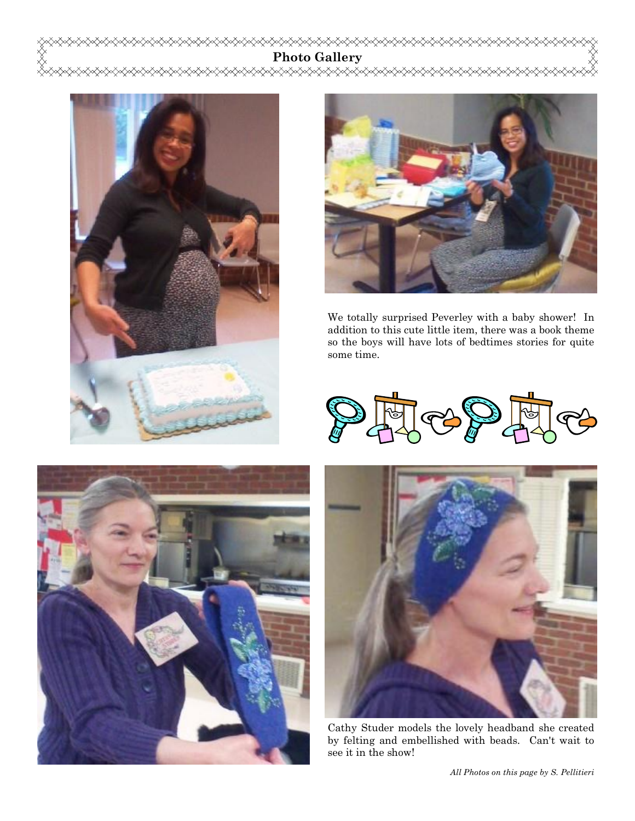**Photo Gallery**

╳╳╳╳╳╳





We totally surprised Peverley with a baby shower! In addition to this cute little item, there was a book theme so the boys will have lots of bedtimes stories for quite some time.







Cathy Studer models the lovely headband she created by felting and embellished with beads. Can't wait to see it in the show!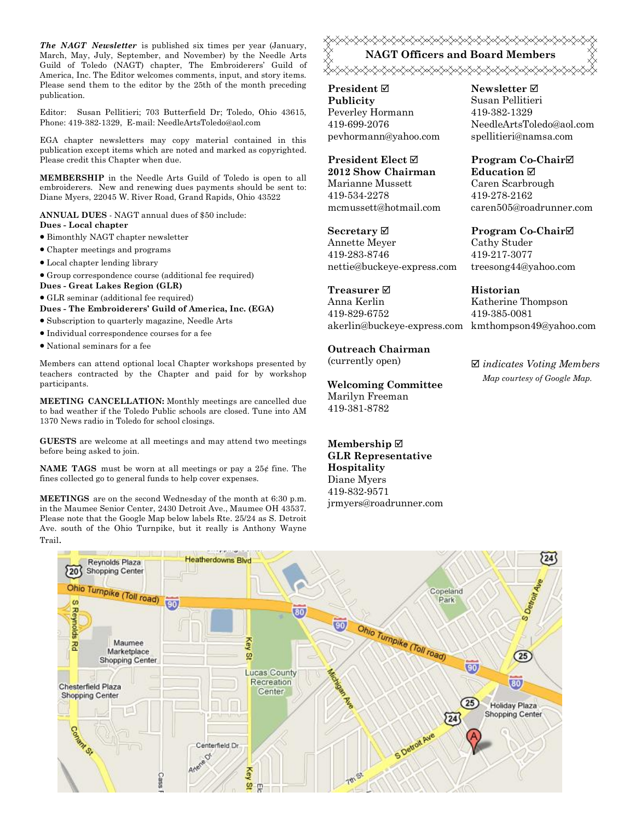*The NAGT Newsletter* is published six times per year (January, March, May, July, September, and November) by the Needle Arts Guild of Toledo (NAGT) chapter, The Embroiderers' Guild of America, Inc. The Editor welcomes comments, input, and story items. Please send them to the editor by the 25th of the month preceding publication.

Editor: Susan Pellitieri; 703 Butterfield Dr; Toledo, Ohio 43615, Phone: 419-382-1329, E-mail: NeedleArtsToledo@aol.com

EGA chapter newsletters may copy material contained in this publication except items which are noted and marked as copyrighted. Please credit this Chapter when due.

**MEMBERSHIP** in the Needle Arts Guild of Toledo is open to all embroiderers. New and renewing dues payments should be sent to: Diane Myers, 22045 W. River Road, Grand Rapids, Ohio 43522

**ANNUAL DUES** - NAGT annual dues of \$50 include: **Dues - Local chapter**

- · Bimonthly NAGT chapter newsletter
- · Chapter meetings and programs
- · Local chapter lending library
- · Group correspondence course (additional fee required)
- **Dues Great Lakes Region (GLR)**
- · GLR seminar (additional fee required)
- **Dues The Embroiderers' Guild of America, Inc. (EGA)**
- · Subscription to quarterly magazine, Needle Arts
- · Individual correspondence courses for a fee
- · National seminars for a fee

Members can attend optional local Chapter workshops presented by teachers contracted by the Chapter and paid for by workshop participants.

**MEETING CANCELLATION:** Monthly meetings are cancelled due to bad weather if the Toledo Public schools are closed. Tune into AM 1370 News radio in Toledo for school closings.

**GUESTS** are welcome at all meetings and may attend two meetings before being asked to join.

**NAME TAGS** must be worn at all meetings or pay a 25¢ fine. The fines collected go to general funds to help cover expenses.

**MEETINGS** are on the second Wednesday of the month at 6:30 p.m. in the Maumee Senior Center, 2430 Detroit Ave., Maumee OH 43537. Please note that the Google Map below labels Rte. 25/24 as S. Detroit Ave. south of the Ohio Turnpike, but it really is Anthony Wayne Trail.

# **≈X≈X≈X≈X≈X≈X≈X≈X≈X≈X≈X≈X≈X≈X≈X≈X≈X≈X**≈X **NAGT Officers and Board Members** <del></del>

**President** ˛ **Publicity** Peverley Hormann 419-699-2076 pevhormann@yahoo.com

**President Elect** ˛ **2012 Show Chairman** Marianne Mussett 419-534-2278 mcmussett@hotmail.com

**Secretary** ˛ Annette Meyer 419-283-8746 nettie@buckeye-express.com

# **Treasurer** ˛

Anna Kerlin 419-829-6752 akerlin@buckeye-express.com kmthompson49@yahoo.com

#### **Outreach Chairman**

(currently open)

### **Welcoming Committee**

Marilyn Freeman 419-381-8782

**Membership ☑ GLR Representative Hospitality** Diane Myers 419-832-9571 jrmyers@roadrunner.com **Newsletter** ˛ Susan Pellitieri 419-382-1329 NeedleArtsToledo@aol.com spellitieri@namsa.com

**Program Co-Chair**˛ **Education** ˛ Caren Scarbrough 419-278-2162 caren505@roadrunner.com

**Program Co-Chair**˛ Cathy Studer 419-217-3077 treesong44@yahoo.com

**Historian**

Katherine Thompson 419-385-0081

˛ *indicates Voting Members Map courtesy of Google Map.*